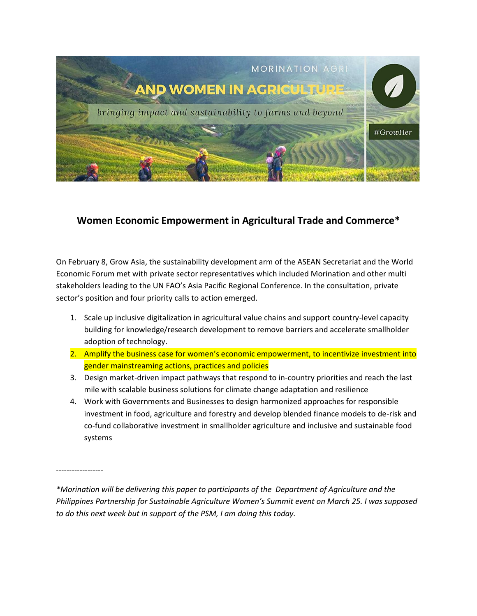

## **Women Economic Empowerment in Agricultural Trade and Commerce\***

On February 8, Grow Asia, the sustainability development arm of the ASEAN Secretariat and the World Economic Forum met with private sector representatives which included Morination and other multi stakeholders leading to the UN FAO's Asia Pacific Regional Conference. In the consultation, private sector's position and four priority calls to action emerged.

- 1. Scale up inclusive digitalization in agricultural value chains and support country-level capacity building for knowledge/research development to remove barriers and accelerate smallholder adoption of technology.
- 2. Amplify the business case for women's economic empowerment, to incentivize investment into gender mainstreaming actions, practices and policies
- 3. Design market-driven impact pathways that respond to in-country priorities and reach the last mile with scalable business solutions for climate change adaptation and resilience
- 4. Work with Governments and Businesses to design harmonized approaches for responsible investment in food, agriculture and forestry and develop blended finance models to de-risk and co-fund collaborative investment in smallholder agriculture and inclusive and sustainable food systems

------------------

*\*Morination will be delivering this paper to participants of the Department of Agriculture and the Philippines Partnership for Sustainable Agriculture Women's Summit event on March 25. I was supposed to do this next week but in support of the PSM, I am doing this today.*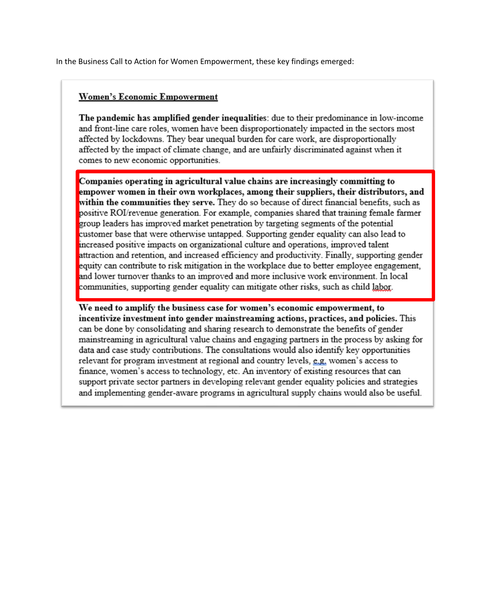In the Business Call to Action for Women Empowerment, these key findings emerged:

## **Women's Economic Empowerment**

The pandemic has amplified gender inequalities: due to their predominance in low-income and front-line care roles, women have been disproportionately impacted in the sectors most affected by lockdowns. They bear unequal burden for care work, are disproportionally affected by the impact of climate change, and are unfairly discriminated against when it comes to new economic opportunities.

Companies operating in agricultural value chains are increasingly committing to empower women in their own workplaces, among their suppliers, their distributors, and within the communities they serve. They do so because of direct financial benefits, such as positive ROI/revenue generation. For example, companies shared that training female farmer group leaders has improved market penetration by targeting segments of the potential customer base that were otherwise untapped. Supporting gender equality can also lead to increased positive impacts on organizational culture and operations, improved talent attraction and retention, and increased efficiency and productivity. Finally, supporting gender equity can contribute to risk mitigation in the workplace due to better employee engagement, and lower turnover thanks to an improved and more inclusive work environment. In local communities, supporting gender equality can mitigate other risks, such as child labor.

We need to amplify the business case for women's economic empowerment, to incentivize investment into gender mainstreaming actions, practices, and policies. This can be done by consolidating and sharing research to demonstrate the benefits of gender mainstreaming in agricultural value chains and engaging partners in the process by asking for data and case study contributions. The consultations would also identify key opportunities relevant for program investment at regional and country levels, e.g. women's access to finance, women's access to technology, etc. An inventory of existing resources that can support private sector partners in developing relevant gender equality policies and strategies and implementing gender-aware programs in agricultural supply chains would also be useful.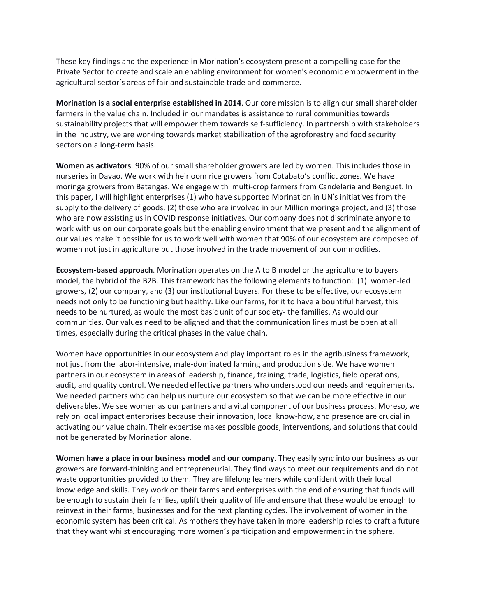These key findings and the experience in Morination's ecosystem present a compelling case for the Private Sector to create and scale an enabling environment for women's economic empowerment in the agricultural sector's areas of fair and sustainable trade and commerce.

**Morination is a social enterprise established in 2014**. Our core mission is to align our small shareholder farmers in the value chain. Included in our mandates is assistance to rural communities towards sustainability projects that will empower them towards self-sufficiency. In partnership with stakeholders in the industry, we are working towards market stabilization of the agroforestry and food security sectors on a long-term basis.

**Women as activators**. 90% of our small shareholder growers are led by women. This includes those in nurseries in Davao. We work with heirloom rice growers from Cotabato's conflict zones. We have moringa growers from Batangas. We engage with multi-crop farmers from Candelaria and Benguet. In this paper, I will highlight enterprises (1) who have supported Morination in UN's initiatives from the supply to the delivery of goods, (2) those who are involved in our Million moringa project, and (3) those who are now assisting us in COVID response initiatives. Our company does not discriminate anyone to work with us on our corporate goals but the enabling environment that we present and the alignment of our values make it possible for us to work well with women that 90% of our ecosystem are composed of women not just in agriculture but those involved in the trade movement of our commodities.

**Ecosystem-based approach**. Morination operates on the A to B model or the agriculture to buyers model, the hybrid of the B2B. This framework has the following elements to function: (1) women-led growers, (2) our company, and (3) our institutional buyers. For these to be effective, our ecosystem needs not only to be functioning but healthy. Like our farms, for it to have a bountiful harvest, this needs to be nurtured, as would the most basic unit of our society- the families. As would our communities. Our values need to be aligned and that the communication lines must be open at all times, especially during the critical phases in the value chain.

Women have opportunities in our ecosystem and play important roles in the agribusiness framework, not just from the labor-intensive, male-dominated farming and production side. We have women partners in our ecosystem in areas of leadership, finance, training, trade, logistics, field operations, audit, and quality control. We needed effective partners who understood our needs and requirements. We needed partners who can help us nurture our ecosystem so that we can be more effective in our deliverables. We see women as our partners and a vital component of our business process. Moreso, we rely on local impact enterprises because their innovation, local know-how, and presence are crucial in activating our value chain. Their expertise makes possible goods, interventions, and solutions that could not be generated by Morination alone.

**Women have a place in our business model and our company**. They easily sync into our business as our growers are forward-thinking and entrepreneurial. They find ways to meet our requirements and do not waste opportunities provided to them. They are lifelong learners while confident with their local knowledge and skills. They work on their farms and enterprises with the end of ensuring that funds will be enough to sustain their families, uplift their quality of life and ensure that these would be enough to reinvest in their farms, businesses and for the next planting cycles. The involvement of women in the economic system has been critical. As mothers they have taken in more leadership roles to craft a future that they want whilst encouraging more women's participation and empowerment in the sphere.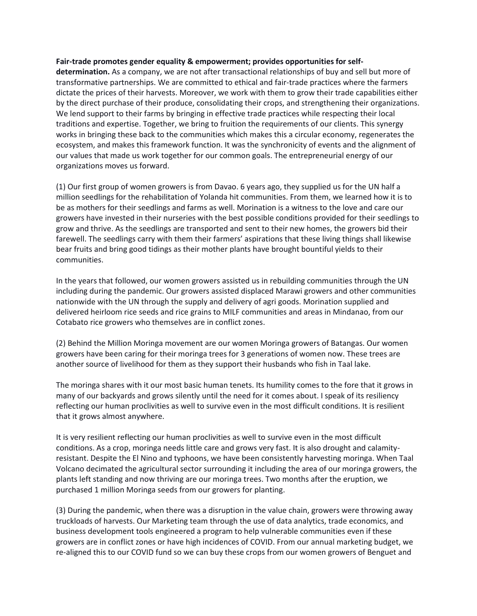## **Fair-trade promotes gender equality & empowerment; provides opportunities for self-**

**determination.** As a company, we are not after transactional relationships of buy and sell but more of transformative partnerships. We are committed to ethical and fair-trade practices where the farmers dictate the prices of their harvests. Moreover, we work with them to grow their trade capabilities either by the direct purchase of their produce, consolidating their crops, and strengthening their organizations. We lend support to their farms by bringing in effective trade practices while respecting their local traditions and expertise. Together, we bring to fruition the requirements of our clients. This synergy works in bringing these back to the communities which makes this a circular economy, regenerates the ecosystem, and makes this framework function. It was the synchronicity of events and the alignment of our values that made us work together for our common goals. The entrepreneurial energy of our organizations moves us forward.

(1) Our first group of women growers is from Davao. 6 years ago, they supplied us for the UN half a million seedlings for the rehabilitation of Yolanda hit communities. From them, we learned how it is to be as mothers for their seedlings and farms as well. Morination is a witness to the love and care our growers have invested in their nurseries with the best possible conditions provided for their seedlings to grow and thrive. As the seedlings are transported and sent to their new homes, the growers bid their farewell. The seedlings carry with them their farmers' aspirations that these living things shall likewise bear fruits and bring good tidings as their mother plants have brought bountiful yields to their communities.

In the years that followed, our women growers assisted us in rebuilding communities through the UN including during the pandemic. Our growers assisted displaced Marawi growers and other communities nationwide with the UN through the supply and delivery of agri goods. Morination supplied and delivered heirloom rice seeds and rice grains to MILF communities and areas in Mindanao, from our Cotabato rice growers who themselves are in conflict zones.

(2) Behind the Million Moringa movement are our women Moringa growers of Batangas. Our women growers have been caring for their moringa trees for 3 generations of women now. These trees are another source of livelihood for them as they support their husbands who fish in Taal lake.

The moringa shares with it our most basic human tenets. Its humility comes to the fore that it grows in many of our backyards and grows silently until the need for it comes about. I speak of its resiliency reflecting our human proclivities as well to survive even in the most difficult conditions. It is resilient that it grows almost anywhere.

It is very resilient reflecting our human proclivities as well to survive even in the most difficult conditions. As a crop, moringa needs little care and grows very fast. It is also drought and calamityresistant. Despite the El Nino and typhoons, we have been consistently harvesting moringa. When Taal Volcano decimated the agricultural sector surrounding it including the area of our moringa growers, the plants left standing and now thriving are our moringa trees. Two months after the eruption, we purchased 1 million Moringa seeds from our growers for planting.

(3) During the pandemic, when there was a disruption in the value chain, growers were throwing away truckloads of harvests. Our Marketing team through the use of data analytics, trade economics, and business development tools engineered a program to help vulnerable communities even if these growers are in conflict zones or have high incidences of COVID. From our annual marketing budget, we re-aligned this to our COVID fund so we can buy these crops from our women growers of Benguet and